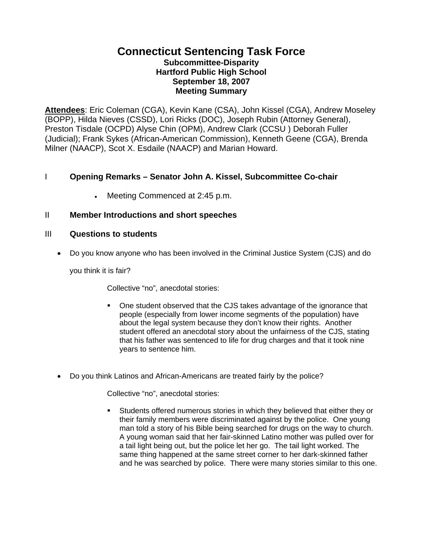# **Connecticut Sentencing Task Force Subcommittee-Disparity Hartford Public High School September 18, 2007 Meeting Summary**

**Attendees**: Eric Coleman (CGA), Kevin Kane (CSA), John Kissel (CGA), Andrew Moseley (BOPP), Hilda Nieves (CSSD), Lori Ricks (DOC), Joseph Rubin (Attorney General), Preston Tisdale (OCPD) Alyse Chin (OPM), Andrew Clark (CCSU ) Deborah Fuller (Judicial); Frank Sykes (African-American Commission), Kenneth Geene (CGA), Brenda Milner (NAACP), Scot X. Esdaile (NAACP) and Marian Howard.

## I **Opening Remarks – Senator John A. Kissel, Subcommittee Co-chair**

• Meeting Commenced at 2:45 p.m.

### II **Member Introductions and short speeches**

#### III **Questions to students**

• Do you know anyone who has been involved in the Criminal Justice System (CJS) and do

you think it is fair?

Collective "no", anecdotal stories:

- One student observed that the CJS takes advantage of the ignorance that people (especially from lower income segments of the population) have about the legal system because they don't know their rights. Another student offered an anecdotal story about the unfairness of the CJS, stating that his father was sentenced to life for drug charges and that it took nine years to sentence him.
- Do you think Latinos and African-Americans are treated fairly by the police?

Collective "no", anecdotal stories:

 Students offered numerous stories in which they believed that either they or their family members were discriminated against by the police. One young man told a story of his Bible being searched for drugs on the way to church. A young woman said that her fair-skinned Latino mother was pulled over for a tail light being out, but the police let her go. The tail light worked. The same thing happened at the same street corner to her dark-skinned father and he was searched by police. There were many stories similar to this one.